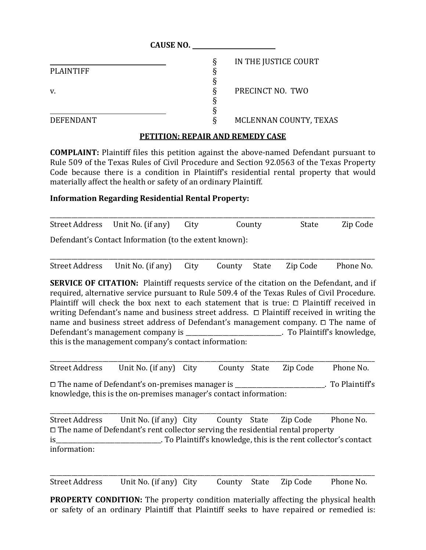|                  | <b>CAUSE NO.</b>          |  |
|------------------|---------------------------|--|
|                  | IN THE JUSTICE COURT<br>ξ |  |
| <b>PLAINTIFF</b> |                           |  |
|                  |                           |  |
| v.               | PRECINCT NO. TWO<br>O     |  |
|                  |                           |  |
|                  |                           |  |
| <b>DEFENDANT</b> | MCLENNAN COUNTY, TEXAS    |  |

## **PETITION: REPAIR AND REMEDY CASE**

**COMPLAINT:** Plaintiff files this petition against the above-named Defendant pursuant to Rule 509 of the Texas Rules of Civil Procedure and Section 92.0563 of the Texas Property Code because there is a condition in Plaintiff's residential rental property that would materially affect the health or safety of an ordinary Plaintiff.

## **Information Regarding Residential Rental Property:**

| Street Address Unit No. (if any)                       | City | County | State | Zip Code |
|--------------------------------------------------------|------|--------|-------|----------|
| Defendant's Contact Information (to the extent known): |      |        |       |          |

| Street Address Unit No. (if any) City County State Zip Code Phone No. |  |  |  |
|-----------------------------------------------------------------------|--|--|--|

**SERVICE OF CITATION:** Plaintiff requests service of the citation on the Defendant, and if required, alternative service pursuant to Rule 509.4 of the Texas Rules of Civil Procedure. Plaintiff will check the box next to each statement that is true:  $\Box$  Plaintiff received in writing Defendant's name and business street address.  $\Box$  Plaintiff received in writing the name and business street address of Defendant's management company.  $\Box$  The name of Defendant's management company is \_\_\_\_\_\_\_\_\_\_\_\_\_\_\_\_\_\_\_\_\_\_\_\_. To Plaintiff's knowledge, . To Plaintiff's knowledge, this is the management company's contact information:

\_\_\_\_\_\_\_\_\_\_\_\_\_\_\_\_\_\_\_\_\_\_\_\_\_\_\_\_\_\_\_\_\_\_\_\_\_\_\_\_\_\_\_\_\_\_\_\_\_\_\_\_\_\_\_\_\_\_\_\_\_\_\_\_\_\_\_\_\_\_\_\_\_\_\_\_\_\_\_\_\_\_\_\_\_\_\_\_\_\_\_\_\_\_\_\_\_\_\_\_\_\_\_\_\_ Street Address Unit No. (if any) City County State Zip Code Phone No.

□ The name of Defendant's on-premises manager is <br>
and the number of Plaintiff's series in the set of plaintiff's in the set of Plaintiff's series in the set of plaintiff's series in the set of plaintiff's series in the s knowledge, this is the on-premises manager's contact information:

\_\_\_\_\_\_\_\_\_\_\_\_\_\_\_\_\_\_\_\_\_\_\_\_\_\_\_\_\_\_\_\_\_\_\_\_\_\_\_\_\_\_\_\_\_\_\_\_\_\_\_\_\_\_\_\_\_\_\_\_\_\_\_\_\_\_\_\_\_\_\_\_\_\_\_\_\_\_\_\_\_\_\_\_\_\_\_\_\_\_\_\_\_\_\_\_\_\_\_\_\_\_\_\_\_ Street Address Unit No. (if any) City County State Zip Code Phone No. □ The name of Defendant's rent collector serving the residential rental property is is the rent collector's contact is the rent collector's contact is the rent collector's contact information:

\_\_\_\_\_\_\_\_\_\_\_\_\_\_\_\_\_\_\_\_\_\_\_\_\_\_\_\_\_\_\_\_\_\_\_\_\_\_\_\_\_\_\_\_\_\_\_\_\_\_\_\_\_\_\_\_\_\_\_\_\_\_\_\_\_\_\_\_\_\_\_\_\_\_\_\_\_\_\_\_\_\_\_\_\_\_\_\_\_\_\_\_\_\_\_\_\_\_\_\_\_\_\_\_\_ Street Address Unit No. (if any) City County State Zip Code Phone No.

**PROPERTY CONDITION:** The property condition materially affecting the physical health or safety of an ordinary Plaintiff that Plaintiff seeks to have repaired or remedied is: